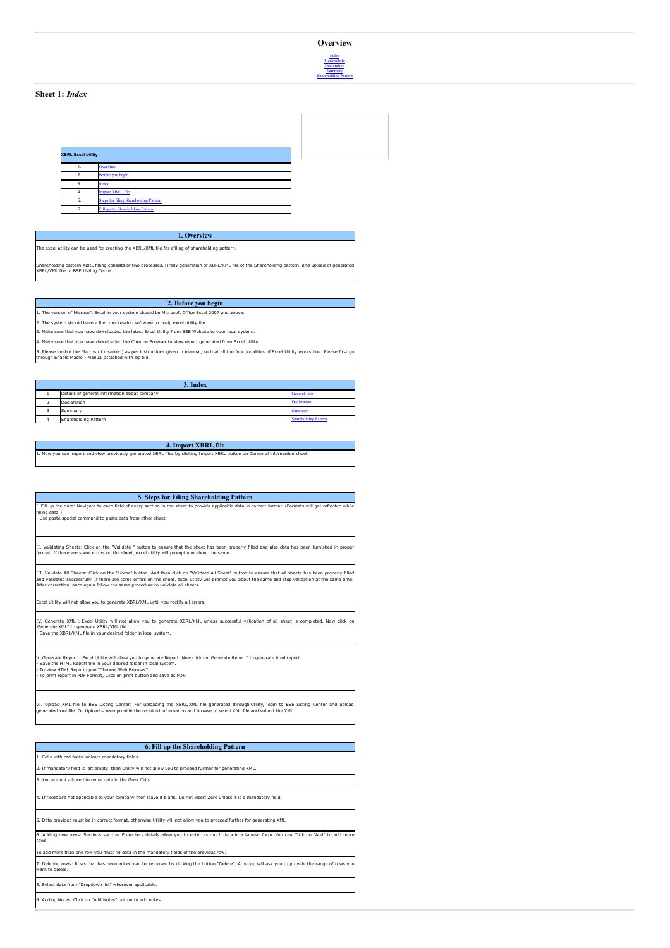## **Overview**



#### **Sheet 1:** *Index*

| <b>XBRL Excel Utility</b> |                                              |
|---------------------------|----------------------------------------------|
|                           | Overview                                     |
| $\overline{2}$            | Before you begin                             |
| $\overline{3}$            | Index                                        |
| 4.                        | <b>Import XBRL file</b>                      |
| 5                         | <b>Steps for filing Shareholding Pattern</b> |
| 6.                        | Fill up the Shareholding Pattern             |

**1. Overview** The excel utility can be used for creating the XBRL/XML file for efiling of shareholding pattern.

Shareholding pattern XBRL filling consists of two processes. Firstly generation of XBRL/XML file of the Shareholding pattern, and upload of generated XBRL/XML file to BSE Listing Center.

### **2. Before you begin**

1. The version of Microsoft Excel in your system should be Microsoft Office Excel 2007 and above.

.<br>2. The system should have a file compression software to unzip excel utility file.

Make sure that you have downloaded the latest Excel Utility from BSE Website to your local system. 4. Make sure that you have downloaded the Chrome Browser to view report generated from Excel utility

5. Please enable the Macros (if disabled) as per instructions given in manual, so that all the functionalities of Excel Utility works fine. Please first go through Enable Macro - Manual attached with zip file.

|  | 3. Index                                     |                             |
|--|----------------------------------------------|-----------------------------|
|  |                                              |                             |
|  | Details of general information about company | <b>General Info</b>         |
|  | Declaration                                  | Declaration                 |
|  | Summary                                      | Summary                     |
|  | Shareholding Pattern                         | <b>Shareholding Pattern</b> |

#### **4. Import XBRL file** 1. Now you can import and view previously generated XBRL files by clicking Import XBRL button on Genenral information sheet.

| 5. Steps for Filing Shareholding Pattern                                                                                                                                                                                                                                                                                                                                                          |  |
|---------------------------------------------------------------------------------------------------------------------------------------------------------------------------------------------------------------------------------------------------------------------------------------------------------------------------------------------------------------------------------------------------|--|
| I. Fill up the data: Navigate to each field of every section in the sheet to provide applicable data in correct format. (Formats will get reflected while<br>filling data.)<br>- Use paste special command to paste data from other sheet.                                                                                                                                                        |  |
| II. Validating Sheets: Click on the "Validate " button to ensure that the sheet has been properly filled and also data has been furnished in proper<br>format. If there are some errors on the sheet, excel utility will prompt you about the same.                                                                                                                                               |  |
| III. Validate All Sheets: Click on the "Home" button. And then click on "Validate All Sheet" button to ensure that all sheets has been properly filled<br>and validated successfully. If there are some errors on the sheet, excel utility will prompt you about the same and stop validation at the same time.<br>After correction, once again follow the same procedure to validate all sheets. |  |
| Excel Utility will not allow you to generate XBRL/XML until you rectify all errors.                                                                                                                                                                                                                                                                                                               |  |
| IV. Generate XML : Excel Utility will not allow you to generate XBRL/XML unless successful validation of all sheet is completed. Now click on<br>'Generate XML" to generate XBRL/XML file.<br>- Save the XBRL/XML file in your desired folder in local system.                                                                                                                                    |  |
| V. Generate Report : Excel Utility will allow you to generate Report. Now click on 'Generate Report" to generate html report.<br>- Save the HTML Report file in your desired folder in local system.<br>- To view HTML Report open "Chrome Web Browser" .<br>- To print report in PDF Format, Click on print button and save as PDF.                                                              |  |
| VI. Upload XML file to BSE Listing Center: For uploading the XBRL/XML file generated through Utility, login to BSE Listing Center and upload<br>generated xml file. On Upload screen provide the reguired information and browse to select XML file and submit the XML.                                                                                                                           |  |
|                                                                                                                                                                                                                                                                                                                                                                                                   |  |
| 6. Fill up the Shareholding Pattern<br>1. Cells with red fonts indicate mandatory fields.                                                                                                                                                                                                                                                                                                         |  |
| 2. If mandatory field is left empty, then Utility will not allow you to proceed further for generating XML.                                                                                                                                                                                                                                                                                       |  |
| 3. You are not allowed to enter data in the Grev Cells.                                                                                                                                                                                                                                                                                                                                           |  |

5. Data provided must be in correct format, otherwise Utility will not allow you to proceed further for generating XML.

4. If fields are not applicable to your company then leave it blank. Do not insert Zero unless it is a mandatory field.

6. Adding new rows: Sections such as Promoters details allow you to enter as much data in a tabular form. You can Click on "Add" to add more rows. one row you must fill data in the mandatory fields of the previous row.

7. Deleting rows: Rows that has been added can be removed by clicking the button "Delete". A popup will ask you to provide the range of rows you want to delete.<br>want to delete.

.<br>8. Select data from "Dropdown list" wherever applicable.

9. Adding Notes: Click on "Add Notes" button to add notes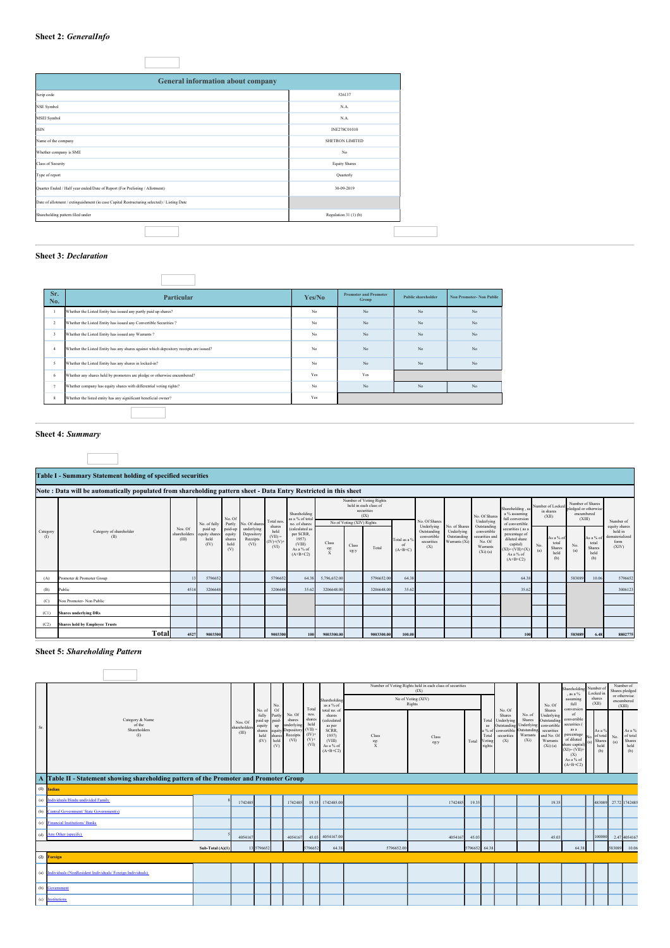## **Sheet 2:** *GeneralInfo*

| General information about company                                                          |                        |
|--------------------------------------------------------------------------------------------|------------------------|
| Scrip code                                                                                 | 526137                 |
| <b>NSE Symbol</b>                                                                          | N.A.                   |
| <b>MSEI</b> Symbol                                                                         | N.A.                   |
| <b>ISIN</b>                                                                                | INE278C01010           |
| Name of the company                                                                        | <b>SHETRON LIMITED</b> |
| Whether company is SME                                                                     | No                     |
| <b>Class of Security</b>                                                                   | <b>Equity Shares</b>   |
| Type of report                                                                             | Quarterly              |
| Quarter Ended / Half year ended/Date of Report (For Prelisting / Allotment)                | 30-09-2019             |
| Date of allotment / extinguishment (in case Capital Restructuring selected) / Listing Date |                        |
| Shareholding pattern filed under                                                           | Regulation 31 (1) (b)  |

## **Sheet 3:** *Declaration*

| Whether the Listed Entity has issued any partly paid up shares?<br>$\mathbf{I}$<br>$\overline{2}$<br>Whether the Listed Entity has issued any Warrants?<br>3 | Whether the Listed Entity has issued any Convertible Securities?                       | No<br>No<br>No | No<br>No<br>No | No<br>No | No<br>No |
|--------------------------------------------------------------------------------------------------------------------------------------------------------------|----------------------------------------------------------------------------------------|----------------|----------------|----------|----------|
|                                                                                                                                                              |                                                                                        |                |                |          |          |
|                                                                                                                                                              |                                                                                        |                |                |          |          |
|                                                                                                                                                              |                                                                                        |                |                | No       | No.      |
| $\ddot{4}$                                                                                                                                                   | Whether the Listed Entity has any shares against which depository receipts are issued? | No             | No             | No       | No       |
| 5<br>Whether the Listed Entity has any shares in locked-in?                                                                                                  |                                                                                        | No             | No             | No       | No       |
| 6                                                                                                                                                            | Whether any shares held by promoters are pledge or otherwise encumbered?               | Yes            | Yes            |          |          |
| $\overline{7}$                                                                                                                                               | Whether company has equity shares with differential voting rights?                     | No             | No             | No       | No       |
| 8<br>Whether the listed entity has any significant beneficial owner?                                                                                         |                                                                                        | Yes            |                |          |          |

# **Sheet 4:** *Summary*

|                                                                                                                  | Table I - Summary Statement holding of specified securities |                                  |                                         |                                            |                                              |                                                     |                                                                          |                                         |                           |                                                                        |                                            |                                                                                |                                                             |                                                                                    |                                                                                                                 |                                        |                                                    |                                                                  |                                                    |                                                             |
|------------------------------------------------------------------------------------------------------------------|-------------------------------------------------------------|----------------------------------|-----------------------------------------|--------------------------------------------|----------------------------------------------|-----------------------------------------------------|--------------------------------------------------------------------------|-----------------------------------------|---------------------------|------------------------------------------------------------------------|--------------------------------------------|--------------------------------------------------------------------------------|-------------------------------------------------------------|------------------------------------------------------------------------------------|-----------------------------------------------------------------------------------------------------------------|----------------------------------------|----------------------------------------------------|------------------------------------------------------------------|----------------------------------------------------|-------------------------------------------------------------|
| Note: Data will be automatically populated from shareholding pattern sheet - Data Entry Restricted in this sheet |                                                             |                                  |                                         |                                            |                                              |                                                     |                                                                          |                                         |                           |                                                                        |                                            |                                                                                |                                                             |                                                                                    |                                                                                                                 |                                        |                                                    |                                                                  |                                                    |                                                             |
| Category<br>$\mathcal{L}$                                                                                        | Category of shareholder<br>(II)                             |                                  | No. of fully                            | No. Of<br>Partly                           | No. Of share                                 | Total nos                                           | Shareholding<br>as a % of total<br>no. of shares                         |                                         | No of Voting (XIV) Rights | Number of Voting Rights<br>held in each class of<br>securities<br>(IX) |                                            | No. Of Shares<br>Underlying<br>Outstanding<br>convertible<br>securities<br>(X) |                                                             | No. Of Shares<br>Underlying                                                        | Shareholding, a<br>a % assuming<br>full conversion<br>of convertible                                            | Number of Locked<br>in shares<br>(XII) |                                                    | Number of Shares<br>pledged or otherwise<br>encumbered<br>(XIII) |                                                    | Number of                                                   |
|                                                                                                                  |                                                             | Nos. Of<br>shareholders<br>(III) | paid up<br>equity share<br>held<br>(IV) | paid-up<br>equity<br>shares<br>held<br>(V) | underlying<br>Depository<br>Receipts<br>(VI) | shares<br>held<br>$(VII) =$<br>$(IV)+(V)$ +<br>(VI) | (calculated as<br>per SCRR,<br>1957<br>(VIII)<br>As a % of<br>$(A+B+C2)$ | Class<br>eg:<br>$\overline{\mathbf{x}}$ | Class<br>eg:y             | Total                                                                  | Total as a 9<br><sup>of</sup><br>$(A+B+C)$ |                                                                                | No. of Shares<br>Underlying<br>Outstanding<br>Warrants (Xi) | Outstanding<br>convertible<br>securities and<br>No. Of<br>Warrants<br>$(Xi)$ $(a)$ | securities (as a<br>percentage of<br>diluted share<br>capital)<br>$(XI) = (VII)+(X)$<br>As a % of<br>$(A+B+C2)$ | No.<br>(a)                             | As a % of<br>total<br><b>Shares</b><br>held<br>(b) | No.<br>(a)                                                       | As a % of<br>total<br><b>Shares</b><br>held<br>(b) | equity shares<br>held in<br>dematerialized<br>form<br>(XIV) |
| (A)                                                                                                              | Promoter & Promoter Group                                   |                                  | 579665                                  |                                            |                                              | 5796652                                             | 64.38                                                                    | 5,796,652.00                            |                           | 5796652.00                                                             | 64.38                                      |                                                                                |                                                             |                                                                                    | 64.3                                                                                                            |                                        |                                                    | 583089                                                           | 10.06                                              | 5796652                                                     |
| (B)                                                                                                              | Public                                                      | 4514                             | 3206648                                 |                                            |                                              | 3206648                                             | 35.62                                                                    | 3206648.00                              |                           | 3206648.00                                                             | 35.62                                      |                                                                                |                                                             |                                                                                    | 35.62                                                                                                           |                                        |                                                    |                                                                  |                                                    | 3006123                                                     |
| (C)                                                                                                              | Non Promoter- Non Public                                    |                                  |                                         |                                            |                                              |                                                     |                                                                          |                                         |                           |                                                                        |                                            |                                                                                |                                                             |                                                                                    |                                                                                                                 |                                        |                                                    |                                                                  |                                                    |                                                             |
| (C1)                                                                                                             | <b>Shares underlying DRs</b>                                |                                  |                                         |                                            |                                              |                                                     |                                                                          |                                         |                           |                                                                        |                                            |                                                                                |                                                             |                                                                                    |                                                                                                                 |                                        |                                                    |                                                                  |                                                    |                                                             |
| (C2)                                                                                                             | <b>Shares held by Employee Trusts</b>                       |                                  |                                         |                                            |                                              |                                                     |                                                                          |                                         |                           |                                                                        |                                            |                                                                                |                                                             |                                                                                    |                                                                                                                 |                                        |                                                    |                                                                  |                                                    |                                                             |
|                                                                                                                  | Total                                                       | 4527                             | 9003300                                 |                                            |                                              | 9003300                                             | 100                                                                      | 9003300.00                              |                           | 9003300.00                                                             | 100.00                                     |                                                                                |                                                             |                                                                                    | 100                                                                                                             |                                        |                                                    | 583089                                                           | 6.48                                               | 8802775                                                     |

# **Sheet 5:** *Shareholding Pattern*

|     |                                                                                        |                    |                                 |                                                                | No.                                                                 |                                                                 |                                                                             | Shareholdin<br>as a % of                                                                                     |                                | Number of Voting Rights held in each class of securities<br>(IX)<br>No of Voting (XIV)<br>Rights |               |                                                   |                                                                                          |                                                                               | No. Of                                                                                                           | Shareholdi<br>, as a $%$<br>assuming<br>full                                                                                                                | Number of<br>Locked in<br>shares<br>(XII) |                                   | Number of<br>Shares pledged<br>or otherwise<br>encumbered<br>(XIII) |                                             |
|-----|----------------------------------------------------------------------------------------|--------------------|---------------------------------|----------------------------------------------------------------|---------------------------------------------------------------------|-----------------------------------------------------------------|-----------------------------------------------------------------------------|--------------------------------------------------------------------------------------------------------------|--------------------------------|--------------------------------------------------------------------------------------------------|---------------|---------------------------------------------------|------------------------------------------------------------------------------------------|-------------------------------------------------------------------------------|------------------------------------------------------------------------------------------------------------------|-------------------------------------------------------------------------------------------------------------------------------------------------------------|-------------------------------------------|-----------------------------------|---------------------------------------------------------------------|---------------------------------------------|
| Sr. | Category & Name<br>of the<br>Shareholders<br>(1)                                       |                    | Nos. Of<br>shareholder<br>(III) | No. of<br>fully<br>paid up<br>equity<br>shares<br>held<br>(IV) | <b>Of</b><br>Partly<br>paid-<br>up<br>quit<br>shares<br>held<br>(V) | No. Of<br>shares<br>underlying<br>Depositor<br>Receipts<br>(VI) | Total<br>nos.<br>shares<br>held<br>$(VII) =$<br>$(IV)$ +<br>$(V)$ +<br>(VI) | total no. of<br>shares<br><b>Calculated</b><br>as per<br>SCRR,<br>1957)<br>(VIII)<br>As a % of<br>$(A+B+C2)$ | Class<br>eg:<br>$\overline{X}$ | Class<br>eg:y                                                                                    | Total         | Total<br>as<br>a % c<br>Total<br>Voting<br>rights | No. Of<br><b>Shares</b><br>Underlying<br>Outstanding<br>convertible<br>securities<br>(X) | No. of<br>Shares<br>Underlying<br>Outstandin<br>Warrants<br>(X <sub>i</sub> ) | <b>Shares</b><br>Underlying<br>Outstandin<br>convertible<br>securities<br>and No. Of<br>Warrants<br>$(Xi)$ $(a)$ | conversion<br>of<br>convertible<br>securities (<br>as a<br>percentage<br>of diluted<br>share capital)<br>$(XI) = (VII) +$<br>(X)<br>As a % of<br>$(A+B+C2)$ | As a 9                                    | of total<br>Shares<br>held<br>(b) | No.<br>(a)                                                          | As a %<br>of total<br>Shares<br>held<br>(b) |
|     | A Table II - Statement showing shareholding pattern of the Promoter and Promoter Group |                    |                                 |                                                                |                                                                     |                                                                 |                                                                             |                                                                                                              |                                |                                                                                                  |               |                                                   |                                                                                          |                                                                               |                                                                                                                  |                                                                                                                                                             |                                           |                                   |                                                                     |                                             |
|     | $(1)$ Indian                                                                           |                    |                                 |                                                                |                                                                     |                                                                 |                                                                             |                                                                                                              |                                |                                                                                                  |               |                                                   |                                                                                          |                                                                               |                                                                                                                  |                                                                                                                                                             |                                           |                                   |                                                                     |                                             |
|     | (a) Individuals/Hindu undivided Family                                                 |                    | 1742485                         |                                                                |                                                                     | 1742485                                                         |                                                                             | 19.35 1742485.00                                                                                             |                                | 1742485                                                                                          | 19.35         |                                                   |                                                                                          |                                                                               | 19.35                                                                                                            |                                                                                                                                                             |                                           | 483089                            | 27.72 1742485                                                       |                                             |
|     | (b) Central Government/ State Government(s)                                            |                    |                                 |                                                                |                                                                     |                                                                 |                                                                             |                                                                                                              |                                |                                                                                                  |               |                                                   |                                                                                          |                                                                               |                                                                                                                  |                                                                                                                                                             |                                           |                                   |                                                                     |                                             |
|     | (c) Financial Institutions/ Banks                                                      |                    |                                 |                                                                |                                                                     |                                                                 |                                                                             |                                                                                                              |                                |                                                                                                  |               |                                                   |                                                                                          |                                                                               |                                                                                                                  |                                                                                                                                                             |                                           |                                   |                                                                     |                                             |
|     | (d) Any Other (specify)                                                                |                    | 4054162                         |                                                                |                                                                     | 4054167                                                         | 45.03                                                                       | 4054167.00                                                                                                   |                                | 4054167                                                                                          | 45.03         |                                                   |                                                                                          |                                                                               | 45.03                                                                                                            |                                                                                                                                                             |                                           | 100000                            | 2.47 4054167                                                        |                                             |
|     |                                                                                        | Sub-Total $(A)(1)$ |                                 | 13 579 6652                                                    |                                                                     |                                                                 | 5796652                                                                     | 64.38                                                                                                        | 5796652.00                     |                                                                                                  | 5796652 64.38 |                                                   |                                                                                          |                                                                               |                                                                                                                  | 64.38                                                                                                                                                       |                                           |                                   | 583089                                                              | 10.06                                       |
|     | (2) Foreign                                                                            |                    |                                 |                                                                |                                                                     |                                                                 |                                                                             |                                                                                                              |                                |                                                                                                  |               |                                                   |                                                                                          |                                                                               |                                                                                                                  |                                                                                                                                                             |                                           |                                   |                                                                     |                                             |
|     | (a) Individuals (NonResident Individuals/Foreign Individuals)                          |                    |                                 |                                                                |                                                                     |                                                                 |                                                                             |                                                                                                              |                                |                                                                                                  |               |                                                   |                                                                                          |                                                                               |                                                                                                                  |                                                                                                                                                             |                                           |                                   |                                                                     |                                             |
|     | (b) Government                                                                         |                    |                                 |                                                                |                                                                     |                                                                 |                                                                             |                                                                                                              |                                |                                                                                                  |               |                                                   |                                                                                          |                                                                               |                                                                                                                  |                                                                                                                                                             |                                           |                                   |                                                                     |                                             |
|     | (c) Institutions                                                                       |                    |                                 |                                                                |                                                                     |                                                                 |                                                                             |                                                                                                              |                                |                                                                                                  |               |                                                   |                                                                                          |                                                                               |                                                                                                                  |                                                                                                                                                             |                                           |                                   |                                                                     |                                             |